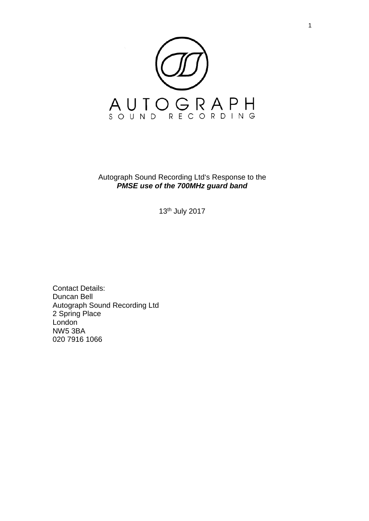

Autograph Sound Recording Ltd's Response to the *PMSE use of the 700MHz guard band*

13th July 2017

Contact Details: Duncan Bell Autograph Sound Recording Ltd 2 Spring Place London NW5 3BA 020 7916 1066